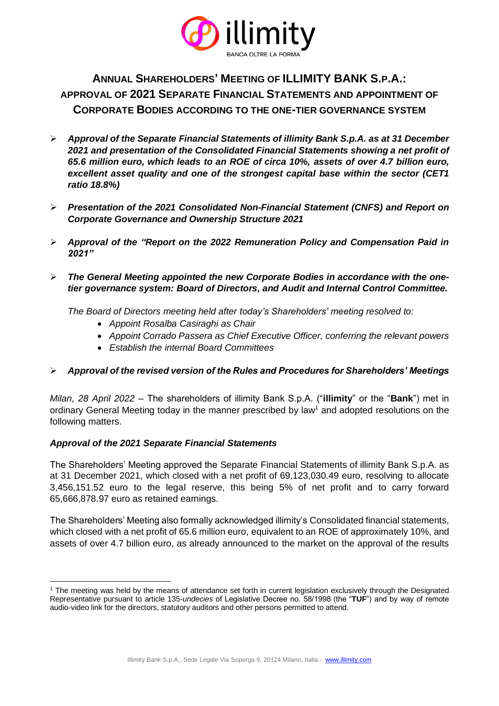

**ANNUAL SHAREHOLDERS' MEETING OF ILLIMITY BANK S.P.A.: APPROVAL OF 2021 SEPARATE FINANCIAL STATEMENTS AND APPOINTMENT OF CORPORATE BODIES ACCORDING TO THE ONE-TIER GOVERNANCE SYSTEM**

- ➢ *Approval of the Separate Financial Statements of illimity Bank S.p.A. as at 31 December 2021 and presentation of the Consolidated Financial Statements showing a net profit of 65.6 million euro, which leads to an ROE of circa 10%, assets of over 4.7 billion euro, excellent asset quality and one of the strongest capital base within the sector (CET1 ratio 18.8%)*
- ➢ *Presentation of the 2021 Consolidated Non-Financial Statement (CNFS) and Report on Corporate Governance and Ownership Structure 2021*
- ➢ *Approval of the "Report on the 2022 Remuneration Policy and Compensation Paid in 2021"*
- ➢ *The General Meeting appointed the new Corporate Bodies in accordance with the onetier governance system: Board of Directors, and Audit and Internal Control Committee.*

*The Board of Directors meeting held after today's Shareholders' meeting resolved to:* 

- *Appoint Rosalba Casiraghi as Chair*
- *Appoint Corrado Passera as Chief Executive Officer, conferring the relevant powers*
- *Establish the internal Board Committees*

# ➢ *Approval of the revised version of the Rules and Procedures for Shareholders' Meetings*

*Milan, 28 April 2022* – The shareholders of illimity Bank S.p.A. ("**illimity**" or the "**Bank**") met in ordinary General Meeting today in the manner prescribed by law<sup>1</sup> and adopted resolutions on the following matters.

## *Approval of the 2021 Separate Financial Statements*

The Shareholders' Meeting approved the Separate Financial Statements of illimity Bank S.p.A. as at 31 December 2021, which closed with a net profit of 69,123,030.49 euro, resolving to allocate 3,456,151.52 euro to the legal reserve, this being 5% of net profit and to carry forward 65,666,878.97 euro as retained earnings.

The Shareholders' Meeting also formally acknowledged illimity's Consolidated financial statements, which closed with a net profit of 65.6 million euro, equivalent to an ROE of approximately 10%, and assets of over 4.7 billion euro, as already announced to the market on the approval of the results

<sup>&</sup>lt;sup>1</sup> The meeting was held by the means of attendance set forth in current legislation exclusively through the Designated Representative pursuant to article 135-*undecies* of Legislative Decree no. 58/1998 (the "**TUF**") and by way of remote audio-video link for the directors, statutory auditors and other persons permitted to attend.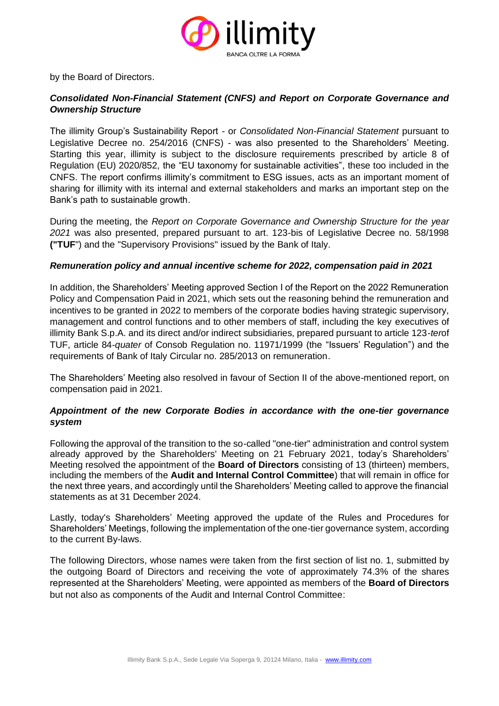

by the Board of Directors.

## *Consolidated Non-Financial Statement (CNFS) and Report on Corporate Governance and Ownership Structure*

The illimity Group's Sustainability Report - or *Consolidated Non-Financial Statement* pursuant to Legislative Decree no. 254/2016 (CNFS) - was also presented to the Shareholders' Meeting. Starting this year, illimity is subject to the disclosure requirements prescribed by article 8 of Regulation (EU) 2020/852, the "EU taxonomy for sustainable activities", these too included in the CNFS. The report confirms illimity's commitment to ESG issues, acts as an important moment of sharing for illimity with its internal and external stakeholders and marks an important step on the Bank's path to sustainable growth.

During the meeting, the *Report on Corporate Governance and Ownership Structure for the year 2021* was also presented, prepared pursuant to art. 123-bis of Legislative Decree no. 58/1998 **("TUF**") and the "Supervisory Provisions" issued by the Bank of Italy.

## *Remuneration policy and annual incentive scheme for 2022, compensation paid in 2021*

In addition, the Shareholders' Meeting approved Section I of the Report on the 2022 Remuneration Policy and Compensation Paid in 2021, which sets out the reasoning behind the remuneration and incentives to be granted in 2022 to members of the corporate bodies having strategic supervisory, management and control functions and to other members of staff, including the key executives of illimity Bank S.p.A. and its direct and/or indirect subsidiaries, prepared pursuant to article 123-*ter*of TUF, article 84-*quater* of Consob Regulation no. 11971/1999 (the "Issuers' Regulation") and the requirements of Bank of Italy Circular no. 285/2013 on remuneration.

The Shareholders' Meeting also resolved in favour of Section II of the above-mentioned report, on compensation paid in 2021.

## *Appointment of the new Corporate Bodies in accordance with the one-tier governance system*

Following the approval of the transition to the so-called "one-tier" administration and control system already approved by the Shareholders' Meeting on 21 February 2021, today's Shareholders' Meeting resolved the appointment of the **Board of Directors** consisting of 13 (thirteen) members, including the members of the **Audit and Internal Control Committee**) that will remain in office for the next three years, and accordingly until the Shareholders' Meeting called to approve the financial statements as at 31 December 2024.

Lastly, today's Shareholders' Meeting approved the update of the Rules and Procedures for Shareholders' Meetings, following the implementation of the one-tier governance system, according to the current By-laws.

The following Directors, whose names were taken from the first section of list no. 1, submitted by the outgoing Board of Directors and receiving the vote of approximately 74.3% of the shares represented at the Shareholders' Meeting, were appointed as members of the **Board of Directors** but not also as components of the Audit and Internal Control Committee: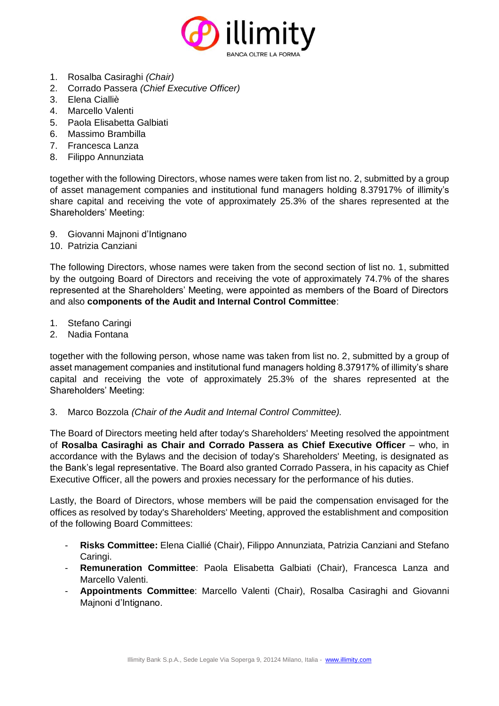

- 1. Rosalba Casiraghi *(Chair)*
- 2. Corrado Passera *(Chief Executive Officer)*
- 3. Elena Cialliè
- 4. Marcello Valenti
- 5. Paola Elisabetta Galbiati
- 6. Massimo Brambilla
- 7. Francesca Lanza
- 8. Filippo Annunziata

together with the following Directors, whose names were taken from list no. 2, submitted by a group of asset management companies and institutional fund managers holding 8.37917% of illimity's share capital and receiving the vote of approximately 25.3% of the shares represented at the Shareholders' Meeting:

- 9. Giovanni Majnoni d'Intignano
- 10. Patrizia Canziani

The following Directors, whose names were taken from the second section of list no. 1, submitted by the outgoing Board of Directors and receiving the vote of approximately 74.7% of the shares represented at the Shareholders' Meeting, were appointed as members of the Board of Directors and also **components of the Audit and Internal Control Committee**:

- 1. Stefano Caringi
- 2. Nadia Fontana

together with the following person, whose name was taken from list no. 2, submitted by a group of asset management companies and institutional fund managers holding 8.37917% of illimity's share capital and receiving the vote of approximately 25.3% of the shares represented at the Shareholders' Meeting:

3. Marco Bozzola *(Chair of the Audit and Internal Control Committee).*

The Board of Directors meeting held after today's Shareholders' Meeting resolved the appointment of **Rosalba Casiraghi as Chair and Corrado Passera as Chief Executive Officer** – who, in accordance with the Bylaws and the decision of today's Shareholders' Meeting, is designated as the Bank's legal representative. The Board also granted Corrado Passera, in his capacity as Chief Executive Officer, all the powers and proxies necessary for the performance of his duties.

Lastly, the Board of Directors, whose members will be paid the compensation envisaged for the offices as resolved by today's Shareholders' Meeting, approved the establishment and composition of the following Board Committees:

- **Risks Committee:** Elena Ciallié (Chair), Filippo Annunziata, Patrizia Canziani and Stefano Caringi.
- **Remuneration Committee**: Paola Elisabetta Galbiati (Chair), Francesca Lanza and Marcello Valenti.
- **Appointments Committee**: Marcello Valenti (Chair), Rosalba Casiraghi and Giovanni Majnoni d'Intignano.